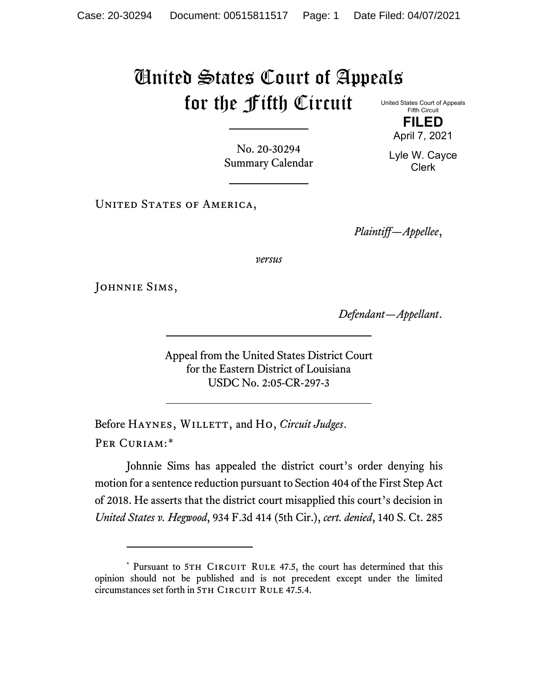## United States Court of Appeals for the Fifth Circuit

United States Court of Appeals Fifth Circuit **FILED**

April 7, 2021

Lyle W. Cayce Clerk

No. 20-30294 Summary Calendar

UNITED STATES OF AMERICA,

*Plaintiff—Appellee*,

*versus*

JOHNNIE SIMS,

*Defendant—Appellant*.

Appeal from the United States District Court for the Eastern District of Louisiana USDC No. 2:05-CR-297-3

Before HAYNES, WILLETT, and Ho, *Circuit Judges*. Per Curiam:[\\*](#page-0-0)

Johnnie Sims has appealed the district court's order denying his motion for a sentence reduction pursuant to Section 404 of the First Step Act of 2018. He asserts that the district court misapplied this court's decision in *United States v. Hegwood*, 934 F.3d 414 (5th Cir.), *cert. denied*, 140 S. Ct. 285

<span id="page-0-0"></span><sup>\*</sup> Pursuant to 5TH CIRCUIT RULE 47.5, the court has determined that this opinion should not be published and is not precedent except under the limited circumstances set forth in 5TH CIRCUIT RULE 47.5.4.